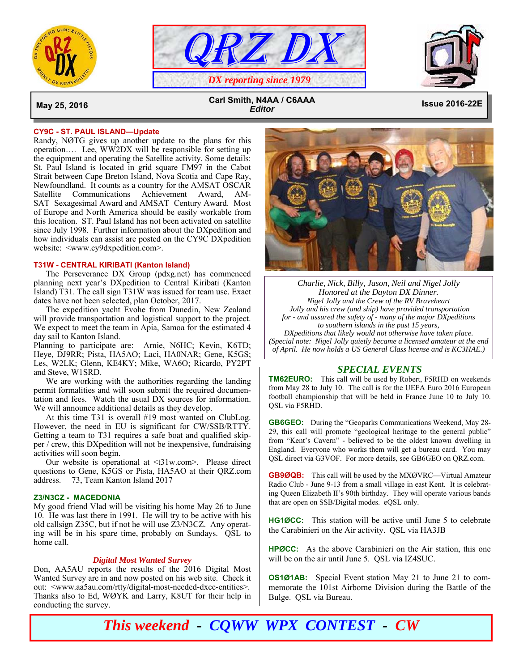





 **May 25, 2016 Issue 2016-22E Carl Smith, N4AA / C6AAA**  *Editor*

#### **CY9C - ST. PAUL ISLAND—Update**

Randy, NØTG gives up another update to the plans for this operation…. Lee, WW2DX will be responsible for setting up the equipment and operating the Satellite activity. Some details: St. Paul Island is located in grid square FM97 in the Cabot Strait between Cape Breton Island, Nova Scotia and Cape Ray, Newfoundland. It counts as a country for the AMSAT OSCAR Satellite Communications Achievement Award, AM-SAT Sexagesimal Award and AMSAT Century Award. Most of Europe and North America should be easily workable from this location. ST. Paul Island has not been activated on satellite since July 1998. Further information about the DXpedition and how individuals can assist are posted on the CY9C DXpedition website: <www.cy9dxpedition.com>.

# **T31W - CENTRAL KIRIBATI (Kanton Island)**

 The Perseverance DX Group (pdxg.net) has commenced planning next year's DXpedition to Central Kiribati (Kanton Island) T31. The call sign T31W was issued for team use. Exact dates have not been selected, plan October, 2017.

 The expedition yacht Evohe from Dunedin, New Zealand will provide transportation and logistical support to the project. We expect to meet the team in Apia, Samoa for the estimated 4 day sail to Kanton Island.

Planning to participate are: Arnie, N6HC; Kevin, K6TD; Heye, DJ9RR; Pista, HA5AO; Laci, HA0NAR; Gene, K5GS; Les, W2LK; Glenn, KE4KY; Mike, WA6O; Ricardo, PY2PT and Steve, W1SRD.

 We are working with the authorities regarding the landing permit formalities and will soon submit the required documentation and fees. Watch the usual DX sources for information. We will announce additional details as they develop.

 At this time T31 is overall #19 most wanted on ClubLog. However, the need in EU is significant for CW/SSB/RTTY. Getting a team to T31 requires a safe boat and qualified skipper / crew, this DXpedition will not be inexpensive, fundraising activities will soon begin.

 Our website is operational at <t31w.com>. Please direct questions to Gene, K5GS or Pista, HA5AO at their QRZ.com address. 73, Team Kanton Island 2017

#### **Z3/N3CZ - MACEDONIA**

My good friend Vlad will be visiting his home May 26 to June 10. He was last there in 1991. He will try to be active with his old callsign Z35C, but if not he will use Z3/N3CZ. Any operating will be in his spare time, probably on Sundays. QSL to home call.

#### *Digital Most Wanted Survey*

Don, AA5AU reports the results of the 2016 Digital Most Wanted Survey are in and now posted on his web site. Check it out: <www.aa5au.com/rtty/digital-most-needed-dxcc-entities>. Thanks also to Ed, WØYK and Larry, K8UT for their help in conducting the survey.



*Charlie, Nick, Billy, Jason, Neil and Nigel Jolly Honored at the Dayton DX Dinner. Nigel Jolly and the Crew of the RV Braveheart Jolly and his crew (and ship) have provided transportation for - and assured the safety of - many of the major DXpeditions to southern islands in the past 15 years, DXpeditions that likely would not otherwise have taken place. (Special note: Nigel Jolly quietly became a licensed amateur at the end of April. He now holds a US General Class license and is KC3HAE.)* 

## *SPECIAL EVENTS*

**TM62EURO:** This call will be used by Robert, F5RHD on weekends from May 28 to July 10. The call is for the UEFA Euro 2016 European football championship that will be held in France June 10 to July 10. QSL via F5RHD.

**GB6GEO:** During the "Geoparks Communications Weekend, May 28- 29, this call will promote "geological heritage to the general public" from "Kent's Cavern" - believed to be the oldest known dwelling in England. Everyone who works them will get a bureau card. You may QSL direct via G3VOF. For more details, see GB6GEO on QRZ.com.

**GB9ØQB:** This call will be used by the MXØVRC—Virtual Amateur Radio Club - June 9-13 from a small village in east Kent. It is celebrating Queen Elizabeth II's 90th birthday. They will operate various bands that are open on SSB/Digital modes. eQSL only.

**HG1ØCC:** This station will be active until June 5 to celebrate the Carabinieri on the Air activity. QSL via HA3JB

**HPØCC:** As the above Carabinieri on the Air station, this one will be on the air until June 5. QSL via IZ4SUC.

**OS1Ø1AB:** Special Event station May 21 to June 21 to commemorate the 101st Airborne Division during the Battle of the Bulge. QSL via Bureau.

*This weekend - CQWW WPX CONTEST - CW*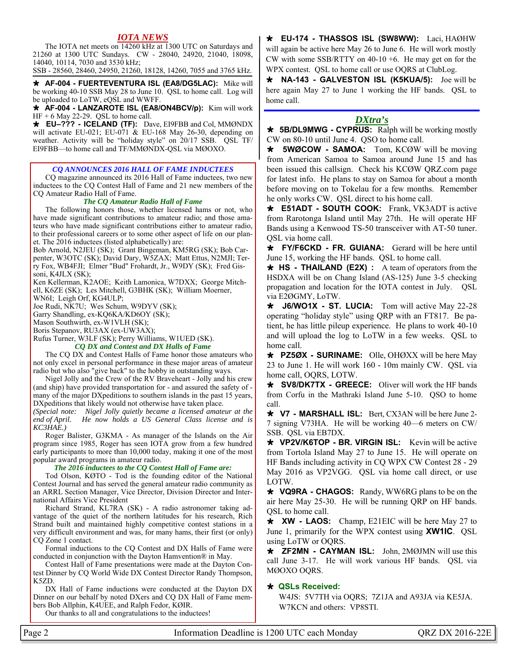# *IOTA NEWS*

 The IOTA net meets on 14260 kHz at 1300 UTC on Saturdays and 21260 at 1300 UTC Sundays. CW - 28040, 24920, 21040, 18098, 14040, 10114, 7030 and 3530 kHz;

SSB - 28560, 28460, 24950, 21260, 18128, 14260, 7055 and 3765 kHz.

 **AF-004 - FUERTEVENTURA ISL (EA8/DG5LAC):** Mike will be working 40-10 SSB May 28 to June 10. QSL to home call. Log will be uploaded to LoTW, eQSL and WWFF.

 **AF-004 - LANZAROTE ISL (EA8/ON4BCV/p):** Kim will work HF + 6 May 22-29. QSL to home call.

 **EU–??? - ICELAND (TF):** Dave, EI9FBB and Col, MMØNDX will activate EU-021; EU-071 & EU-168 May 26-30, depending on weather. Activity will be "holiday style" on 20/17 SSB. QSL TF/ EI9FBB—to home call and TF/MMØNDX-QSL via MØOXO.

### *CQ ANNOUNCES 2016 HALL OF FAME INDUCTEES*

 CQ magazine announced its 2016 Hall of Fame inductees, two new inductees to the CQ Contest Hall of Fame and 21 new members of the CQ Amateur Radio Hall of Fame.

#### *The CQ Amateur Radio Hall of Fame*

 The following honors those, whether licensed hams or not, who have made significant contributions to amateur radio; and those amateurs who have made significant contributions either to amateur radio, to their professional careers or to some other aspect of life on our planet. The 2016 inductees (listed alphabetically) are:

Bob Arnold, N2JEU (SK); Grant Bingeman, KM5RG (SK); Bob Carpenter, W3OTC (SK); David Dary, W5ZAX; Matt Ettus, N2MJI; Terry Fox, WB4FJI; Elmer "Bud" Frohardt, Jr., W9DY (SK); Fred Gissoni, K4JLX (SK);

Ken Kellerman, K2AOE; Keith Lamonica, W7DXX; George Mitchell, K6ZE (SK); Les Mitchell, G3BHK (SK); William Moerner,

WN6I; Leigh Orf, KG4ULP;

Joe Rudi, NK7U; Wes Schum, W9DYV (SK);

Garry Shandling, ex-KQ6KA/KD6OY (SK);

Mason Southwirth, ex-W1VLH (SK); Boris Stepanov, RU3AX (ex-UW3AX);

Rufus Turner, W3LF (SK); Perry Williams, W1UED (SK).

#### *CQ DX and Contest and DX Halls of Fame*

 The CQ DX and Contest Halls of Fame honor those amateurs who not only excel in personal performance in these major areas of amateur radio but who also "give back" to the hobby in outstanding ways.

 Nigel Jolly and the Crew of the RV Braveheart - Jolly and his crew (and ship) have provided transportation for - and assured the safety of many of the major DXpeditions to southern islands in the past 15 years, DXpeditions that likely would not otherwise have taken place.

*(Special note: Nigel Jolly quietly became a licensed amateur at the end of April. He now holds a US General Class license and is KC3HAE.)* 

 Roger Balister, G3KMA - As manager of the Islands on the Air program since 1985, Roger has seen IOTA grow from a few hundred early participants to more than 10,000 today, making it one of the most popular award programs in amateur radio.

#### *The 2016 inductees to the CQ Contest Hall of Fame are:*

 Tod Olson, KØTO - Tod is the founding editor of the National Contest Journal and has served the general amateur radio community as an ARRL Section Manager, Vice Director, Division Director and International Affairs Vice President

 Richard Strand, KL7RA (SK) - A radio astronomer taking advantage of the quiet of the northern latitudes for his research, Rich Strand built and maintained highly competitive contest stations in a very difficult environment and was, for many hams, their first (or only) CQ Zone 1 contact.

 Formal inductions to the CQ Contest and DX Halls of Fame were conducted in conjunction with the Dayton Hamvention® in May.

 Contest Hall of Fame presentations were made at the Dayton Contest Dinner by CQ World Wide DX Contest Director Randy Thompson, K5ZD.

 DX Hall of Fame inductions were conducted at the Dayton DX Dinner on our behalf by noted DXers and CQ DX Hall of Fame members Bob Allphin, K4UEE, and Ralph Fedor, KØIR.

Our thanks to all and congratulations to the inductees!

 **EU-174 - THASSOS ISL (SW8WW):** Laci, HAØHW will again be active here May 26 to June 6. He will work mostly CW with some SSB/RTTY on  $40-10+6$ . He may get on for the WPX contest. QSL to home call or use OQRS at ClubLog.

 **NA-143 - GALVESTON ISL (K5KUA/5):** Joe will be here again May 27 to June 1 working the HF bands. QSL to home call.

## *DXtra's*

 **5B/DL9MWG - CYPRUS:** Ralph will be working mostly CW on 80-10 until June 4. QSO to home call.

**\* 5WØCOW - SAMOA:** Tom, KCØW will be moving from American Samoa to Samoa around June 15 and has been issued this callsign. Check his KCØW QRZ.com page for latest info. He plans to stay on Samoa for about a month before moving on to Tokelau for a few months. Remember he only works CW. QSL direct to his home call.

 **E51ADT - SOUTH COOK:** Frank, VK3ADT is active from Rarotonga Island until May 27th. He will operate HF Bands using a Kenwood TS-50 transceiver with AT-50 tuner. QSL via home call.

 **FY/F6CKD - FR. GUIANA:** Gerard will be here until June 15, working the HF bands. QSL to home call.

 **HS - THAILAND (E2X) :** A team of operators from the HSDXA will be on Chang Island (AS-125) June 3-5 checking propagation and location for the IOTA contest in July. QSL via E2ØGMY, LoTW.

 **J6/WO1X - ST. LUCIA:** Tom will active May 22-28 operating "holiday style" using QRP with an FT817. Be patient, he has little pileup experience. He plans to work 40-10 and will upload the log to LoTW in a few weeks. QSL to home call.

 **PZ5ØX - SURINAME:** Olle, OHØXX will be here May 23 to June 1. He will work 160 - 10m mainly CW. QSL via home call, OQRS, LOTW.

 **SV8/DK7TX - GREECE:** Oliver will work the HF bands from Corfu in the Mathraki Island June 5-10. QSO to home call.

 **V7 - MARSHALL ISL:** Bert, CX3AN will be here June 2- 7 signing V73HA. He will be working 40—6 meters on CW/ SSB. QSL via EB7DX.

 **VP2V/K6TOP - BR. VIRGIN ISL:** Kevin will be active from Tortola Island May 27 to June 15. He will operate on HF Bands including activity in CQ WPX CW Contest 28 - 29 May 2016 as VP2VGG. QSL via home call direct, or use LOTW.

 **VQ9RA - CHAGOS:** Randy, WW6RG plans to be on the air here May 25-30. He will be running QRP on HF bands. QSL to home call.

 **XW - LAOS:** Champ, E21EIC will be here May 27 to June 1, primarily for the WPX contest using **XW1IC**. QSL using LoTW or OQRS.

 **ZF2MN - CAYMAN ISL:** John, 2MØJMN will use this call June 3-17. He will work various HF bands. QSL via MØOXO OQRS.

## **QSLs Received:**

 W4JS: 5V7TH via OQRS; 7Z1JA and A93JA via KE5JA. W7KCN and others: VP8STI.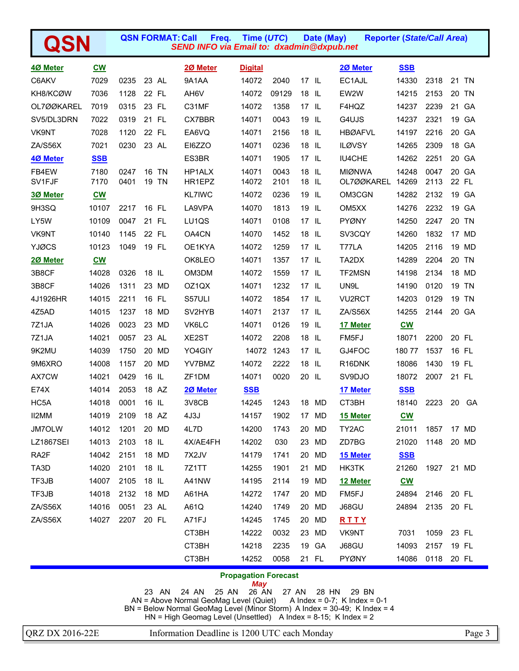|                   |                           |      |       | <b>QSN FORMAT: Call</b><br>Freq.<br><b>SEND INFO via Email to: dxadmin@dxpub.net</b> | Time (UTC)     |       |         | Date (May) | <b>Reporter (State/Call Area)</b> |                                                |      |    |       |
|-------------------|---------------------------|------|-------|--------------------------------------------------------------------------------------|----------------|-------|---------|------------|-----------------------------------|------------------------------------------------|------|----|-------|
| 4Ø Meter          | $CM$                      |      |       | 2Ø Meter                                                                             | <b>Digital</b> |       |         |            | 20 Meter                          | <b>SSB</b>                                     |      |    |       |
| C6AKV             | 7029                      | 0235 | 23 AL | 9A1AA                                                                                | 14072          | 2040  | 17 IL   |            | EC1AJL                            | 14330                                          | 2318 |    | 21 TN |
| KH8/KCØW          | 7036                      | 1128 | 22 FL | AH6V                                                                                 | 14072          | 09129 | 18      | - IL       | EW2W                              | 14215                                          | 2153 |    | 20 TN |
| OL7ØØKAREL        | 7019                      | 0315 | 23 FL | C31MF                                                                                | 14072          | 1358  | $17$ IL |            | F4HQZ                             | 14237                                          | 2239 |    | 21 GA |
| SV5/DL3DRN        | 7022                      | 0319 | 21 FL | CX7BBR                                                                               | 14071          | 0043  | 19      | -IL        | G4UJS                             | 14237                                          | 2321 |    | 19 GA |
| VK9NT             | 7028                      | 1120 | 22 FL | EA6VQ                                                                                | 14071          | 2156  | 18      | - IL       | <b>HBØAFVL</b>                    | 14197                                          | 2216 |    | 20 GA |
| ZA/S56X           | 7021                      | 0230 | 23 AL | EI6ZZO                                                                               | 14071          | 0236  | 18      | - IL       | <b>ILØVSY</b>                     | 14265                                          | 2309 |    | 18 GA |
| 4Ø Meter          | <b>SSB</b>                |      |       | ES3BR                                                                                | 14071          | 1905  | $17$ IL |            | IU4CHE                            | 14262                                          | 2251 |    | 20 GA |
| FB4EW             | 7180                      | 0247 | 16 TN | HP1ALX                                                                               | 14071          | 0043  | 18      | IL.        | <b>MIØNWA</b>                     | 14248                                          | 0047 |    | 20 GA |
| SV1FJF            | 7170                      | 0401 | 19 TN | HR1EPZ                                                                               | 14072          | 2101  | 18      | L          | OL7ØØKAREL                        | 14269                                          | 2113 |    | 22 FL |
| 3Ø Meter          | $\underline{\mathbf{cw}}$ |      |       | <b>KL7IWC</b>                                                                        | 14072          | 0236  | 19      | - IL       | OM3CGN                            | 14282                                          | 2132 |    | 19 GA |
| 9H3SQ             | 10107                     | 2217 | 16 FL | LA9VPA                                                                               | 14070          | 1813  | 19      | - IL       | OM <sub>5</sub> XX                | 14276                                          | 2232 |    | 19 GA |
| LY5W              | 10109                     | 0047 | 21 FL | LU1QS                                                                                | 14071          | 0108  | 17      | - IL       | <b>PYØNY</b>                      | 14250                                          | 2247 |    | 20 TN |
| VK9NT             | 10140                     | 1145 | 22 FL | OA4CN                                                                                | 14070          | 1452  | 18      | - IL       | SV3CQY                            | 14260                                          | 1832 |    | 17 MD |
| <b>YJØCS</b>      | 10123                     | 1049 | 19 FL | OE1KYA                                                                               | 14072          | 1259  | 17      | - IL       | T77LA                             | 14205                                          | 2116 |    | 19 MD |
| 20 Meter          | $CM$                      |      |       | OK8LEO                                                                               | 14071          | 1357  | $17$ IL |            | TA2DX                             | 14289                                          | 2204 |    | 20 TN |
| 3B8CF             | 14028                     | 0326 | 18 IL | OM3DM                                                                                | 14072          | 1559  | 17      | - IL       | TF2MSN                            | 14198                                          | 2134 |    | 18 MD |
| 3B8CF             | 14026                     | 1311 | 23 MD | OZ1QX                                                                                | 14071          | 1232  | $17$ IL |            | UN9L                              | 14190                                          | 0120 |    | 19 TN |
| 4J1926HR          | 14015                     | 2211 | 16 FL | S57ULI                                                                               | 14072          | 1854  | 17      | - IL       | VU2RCT                            | 14203                                          | 0129 |    | 19 TN |
| 4Z5AD             | 14015                     | 1237 | 18 MD | SV2HYB                                                                               | 14071          | 2137  | 17      | - IL       | ZA/S56X                           | 14255                                          | 2144 |    | 20 GA |
| 7Z1JA             | 14026                     | 0023 | 23 MD | VK6LC                                                                                | 14071          | 0126  | 19      | - IL       | 17 Meter                          | $\underline{\mathbf{C}}\underline{\mathbf{W}}$ |      |    |       |
| 7Z1JA             | 14021                     | 0057 | 23 AL | XE2ST                                                                                | 14072          | 2208  | 18      | - IL       | FM5FJ                             | 18071                                          | 2200 |    | 20 FL |
| 9K2MU             | 14039                     | 1750 | 20 MD | YO4GIY                                                                               | 14072          | 1243  | $17$ IL |            | GJ4FOC                            | 18077                                          | 1537 |    | 16 FL |
| 9M6XRO            | 14008                     | 1157 | 20 MD | YV7BMZ                                                                               | 14072          | 2222  | 18      | IL.        | R16DNK                            | 18086                                          | 1430 |    | 19 FL |
| AX7CW             | 14021                     | 0429 | 16 IL | ZF1DM                                                                                | 14071          | 0020  | 20      | - IL       | SV9DJO                            | 18072                                          | 2007 |    | 21 FL |
| <b>E74X</b>       | 14014                     | 2053 | 18 AZ | 20 Meter                                                                             | <b>SSB</b>     |       |         |            | 17 Meter                          | <b>SSB</b>                                     |      |    |       |
| HC <sub>5</sub> A | 14018                     | 0001 | 16 IL | 3V8CB                                                                                | 14245          | 1243  |         | 18 MD      | CT3BH                             | 18140                                          | 2223 | 20 | GA    |
| II2MM             | 14019                     | 2109 | 18 AZ | 4J3J                                                                                 | 14157          | 1902  | 17      | MD         | 15 Meter                          | $\underline{\mathbf{C}}\mathbf{W}$             |      |    |       |
| JM7OLW            | 14012                     | 1201 | 20 MD | 4L7D                                                                                 | 14200          | 1743  | 20      | <b>MD</b>  | TY2AC                             | 21011                                          | 1857 |    | 17 MD |
| <b>LZ1867SEI</b>  | 14013                     | 2103 | 18 IL | 4X/AE4FH                                                                             | 14202          | 030   |         | 23 MD      | ZD7BG                             | 21020                                          | 1148 |    | 20 MD |
| RA <sub>2</sub> F | 14042                     | 2151 | 18 MD | 7X2JV                                                                                | 14179          | 1741  |         | 20 MD      | 15 Meter                          | <b>SSB</b>                                     |      |    |       |
| TA3D              | 14020                     | 2101 | 18 IL | 7Z1TT                                                                                | 14255          | 1901  |         | 21 MD      | HK3TK                             | 21260                                          | 1927 |    | 21 MD |
| TF3JB             | 14007                     | 2105 | 18 IL | A41NW                                                                                | 14195          | 2114  | 19      | MD         | 12 Meter                          | $\underline{\mathbf{cw}}$                      |      |    |       |
| TF3JB             | 14018                     | 2132 | 18 MD | A61HA                                                                                | 14272          | 1747  |         | 20 MD      | FM5FJ                             | 24894                                          | 2146 |    | 20 FL |
| ZA/S56X           | 14016                     | 0051 | 23 AL | A61Q                                                                                 | 14240          | 1749  |         | 20 MD      | J68GU                             | 24894                                          | 2135 |    | 20 FL |
| ZA/S56X           | 14027                     | 2207 | 20 FL | A71FJ                                                                                | 14245          | 1745  |         | 20 MD      | RTTY                              |                                                |      |    |       |
|                   |                           |      |       | CT3BH                                                                                | 14222          | 0032  |         | 23 MD      | VK9NT                             | 7031                                           | 1059 |    | 23 FL |
|                   |                           |      |       | CT3BH                                                                                | 14218          | 2235  | 19      | GA         | J68GU                             | 14093                                          | 2157 |    | 19 FL |
|                   |                           |      |       | CT3BH                                                                                | 14252          | 0058  |         | 21 FL      | PYØNY                             | 14086                                          | 0118 |    | 20 FL |

# **Propagation Forecast**

*May* 26 AN 23 AN 24 AN 25 AN 26 AN 27 AN 28 HN 29 BN AN = Above Normal GeoMag Level (Quiet) A Index = 0-7; K Index = 0-1 BN = Below Normal GeoMag Level (Minor Storm) A Index = 30-49; K Index = 4 HN = High Geomag Level (Unsettled) A Index = 8-15; K Index = 2